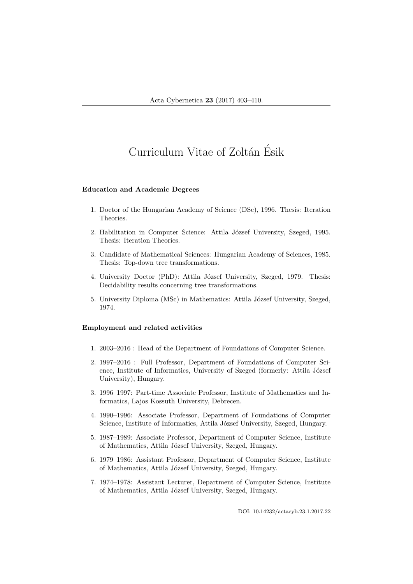# Curriculum Vitae of Zoltán Ésik

## Education and Academic Degrees

- 1. Doctor of the Hungarian Academy of Science (DSc), 1996. Thesis: Iteration Theories.
- 2. Habilitation in Computer Science: Attila József University, Szeged, 1995. Thesis: Iteration Theories.
- 3. Candidate of Mathematical Sciences: Hungarian Academy of Sciences, 1985. Thesis: Top-down tree transformations.
- 4. University Doctor (PhD): Attila József University, Szeged, 1979. Thesis: Decidability results concerning tree transformations.
- 5. University Diploma (MSc) in Mathematics: Attila József University, Szeged, 1974.

## Employment and related activities

- 1. 2003–2016 : Head of the Department of Foundations of Computer Science.
- 2. 1997–2016 : Full Professor, Department of Foundations of Computer Science, Institute of Informatics, University of Szeged (formerly: Attila József University), Hungary.
- 3. 1996–1997: Part-time Associate Professor, Institute of Mathematics and Informatics, Lajos Kossuth University, Debrecen.
- 4. 1990–1996: Associate Professor, Department of Foundations of Computer Science, Institute of Informatics, Attila József University, Szeged, Hungary.
- 5. 1987–1989: Associate Professor, Department of Computer Science, Institute of Mathematics, Attila József University, Szeged, Hungary.
- 6. 1979–1986: Assistant Professor, Department of Computer Science, Institute of Mathematics, Attila József University, Szeged, Hungary.
- 7. 1974–1978: Assistant Lecturer, Department of Computer Science, Institute of Mathematics, Attila József University, Szeged, Hungary.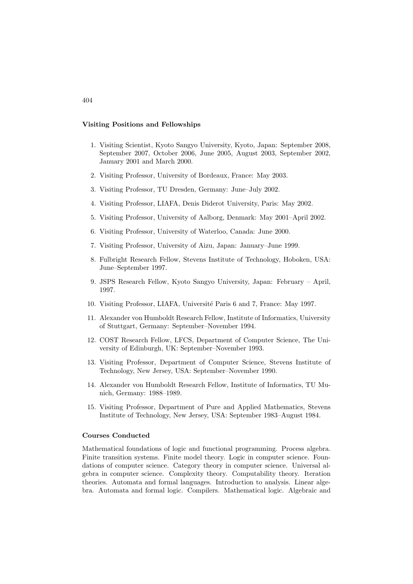## Visiting Positions and Fellowships

- 1. Visiting Scientist, Kyoto Sangyo University, Kyoto, Japan: September 2008, September 2007, October 2006, June 2005, August 2003, September 2002, January 2001 and March 2000.
- 2. Visiting Professor, University of Bordeaux, France: May 2003.
- 3. Visiting Professor, TU Dresden, Germany: June–July 2002.
- 4. Visiting Professor, LIAFA, Denis Diderot University, Paris: May 2002.
- 5. Visiting Professor, University of Aalborg, Denmark: May 2001–April 2002.
- 6. Visiting Professor, University of Waterloo, Canada: June 2000.
- 7. Visiting Professor, University of Aizu, Japan: January–June 1999.
- 8. Fulbright Research Fellow, Stevens Institute of Technology, Hoboken, USA: June–September 1997.
- 9. JSPS Research Fellow, Kyoto Sangyo University, Japan: February April, 1997.
- 10. Visiting Professor, LIAFA, Université Paris 6 and 7, France: May 1997.
- 11. Alexander von Humboldt Research Fellow, Institute of Informatics, University of Stuttgart, Germany: September–November 1994.
- 12. COST Research Fellow, LFCS, Department of Computer Science, The University of Edinburgh, UK: September–November 1993.
- 13. Visiting Professor, Department of Computer Science, Stevens Institute of Technology, New Jersey, USA: September–November 1990.
- 14. Alexander von Humboldt Research Fellow, Institute of Informatics, TU Munich, Germany: 1988–1989.
- 15. Visiting Professor, Department of Pure and Applied Mathematics, Stevens Institute of Technology, New Jersey, USA: September 1983–August 1984.

#### Courses Conducted

Mathematical foundations of logic and functional programming. Process algebra. Finite transition systems. Finite model theory. Logic in computer science. Foundations of computer science. Category theory in computer science. Universal algebra in computer science. Complexity theory. Computability theory. Iteration theories. Automata and formal languages. Introduction to analysis. Linear algebra. Automata and formal logic. Compilers. Mathematical logic. Algebraic and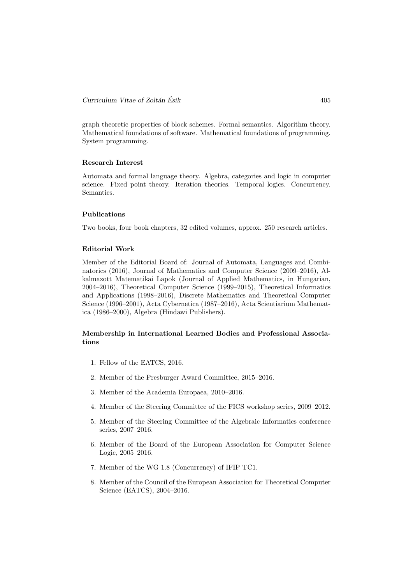graph theoretic properties of block schemes. Formal semantics. Algorithm theory. Mathematical foundations of software. Mathematical foundations of programming. System programming.

# Research Interest

Automata and formal language theory. Algebra, categories and logic in computer science. Fixed point theory. Iteration theories. Temporal logics. Concurrency. Semantics.

## Publications

Two books, four book chapters, 32 edited volumes, approx. 250 research articles.

#### Editorial Work

Member of the Editorial Board of: Journal of Automata, Languages and Combinatorics (2016), Journal of Mathematics and Computer Science (2009–2016), Alkalmazott Matematikai Lapok (Journal of Applied Mathematics, in Hungarian, 2004–2016), Theoretical Computer Science (1999–2015), Theoretical Informatics and Applications (1998–2016), Discrete Mathematics and Theoretical Computer Science (1996–2001), Acta Cybernetica (1987–2016), Acta Scientiarium Mathematica (1986–2000), Algebra (Hindawi Publishers).

# Membership in International Learned Bodies and Professional Associations

- 1. Fellow of the EATCS, 2016.
- 2. Member of the Presburger Award Committee, 2015–2016.
- 3. Member of the Academia Europaea, 2010–2016.
- 4. Member of the Steering Committee of the FICS workshop series, 2009–2012.
- 5. Member of the Steering Committee of the Algebraic Informatics conference series, 2007–2016.
- 6. Member of the Board of the European Association for Computer Science Logic, 2005–2016.
- 7. Member of the WG 1.8 (Concurrency) of IFIP TC1.
- 8. Member of the Council of the European Association for Theoretical Computer Science (EATCS), 2004–2016.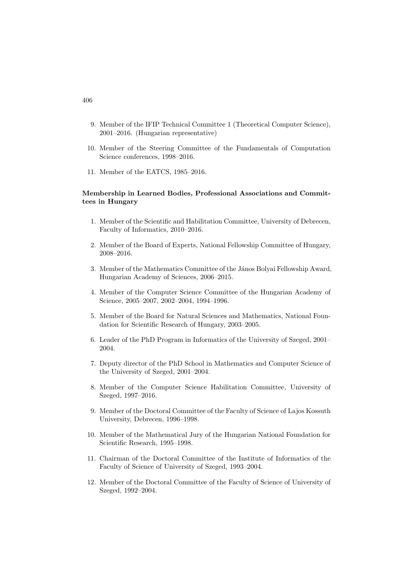- 9. Member of the IFIP Technical Committee 1 (Theoretical Computer Science), 2001–2016. (Hungarian representative)
- 10. Member of the Steering Committee of the Fundamentals of Computation Science conferences, 1998–2016.
- 11. Member of the EATCS, 1985–2016.

# Membership in Learned Bodies, Professional Associations and Committees in Hungary

- 1. Member of the Scientific and Habilitation Committee, University of Debrecen, Faculty of Informatics, 2010–2016.
- 2. Member of the Board of Experts, National Fellowship Committee of Hungary, 2008–2016.
- 3. Member of the Mathematics Committee of the János Bolyai Fellowship Award, Hungarian Academy of Sciences, 2006–2015.
- 4. Member of the Computer Science Committee of the Hungarian Academy of Science, 2005–2007, 2002–2004, 1994–1996.
- 5. Member of the Board for Natural Sciences and Mathematics, National Foundation for Scientific Research of Hungary, 2003–2005.
- 6. Leader of the PhD Program in Informatics of the University of Szeged, 2001– 2004.
- 7. Deputy director of the PhD School in Mathematics and Computer Science of the University of Szeged, 2001–2004.
- 8. Member of the Computer Science Habilitation Committee, University of Szeged, 1997–2016.
- 9. Member of the Doctoral Committee of the Faculty of Science of Lajos Kossuth University, Debrecen, 1996–1998.
- 10. Member of the Mathematical Jury of the Hungarian National Foundation for Scientific Research, 1995–1998.
- 11. Chairman of the Doctoral Committee of the Institute of Informatics of the Faculty of Science of University of Szeged, 1993–2004.
- 12. Member of the Doctoral Committee of the Faculty of Science of University of Szeged, 1992–2004.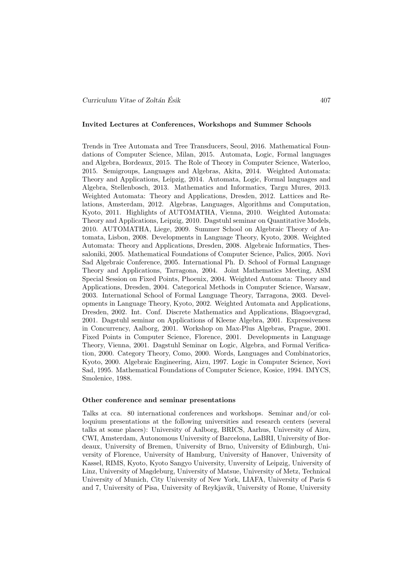#### Invited Lectures at Conferences, Workshops and Summer Schools

Trends in Tree Automata and Tree Transducers, Seoul, 2016. Mathematical Foundations of Computer Science, Milan, 2015. Automata, Logic, Formal languages and Algebra, Bordeaux, 2015. The Role of Theory in Computer Science, Waterloo, 2015. Semigroups, Languages and Algebras, Akita, 2014. Weighted Automata: Theory and Applications, Leipzig, 2014. Automata, Logic, Formal languages and Algebra, Stellenbosch, 2013. Mathematics and Informatics, Targu Mures, 2013. Weighted Automata: Theory and Applications, Dresden, 2012. Lattices and Relations, Amsterdam, 2012. Algebras, Languages, Algorithms and Computation, Kyoto, 2011. Highlights of AUTOMATHA, Vienna, 2010. Weighted Automata: Theory and Applications, Leipzig, 2010. Dagstuhl seminar on Quantitative Models, 2010. AUTOMATHA, Liege, 2009. Summer School on Algebraic Theory of Automata, Lisbon, 2008. Developments in Language Theory, Kyoto, 2008. Weighted Automata: Theory and Applications, Dresden, 2008. Algebraic Informatics, Thessaloniki, 2005. Mathematical Foundations of Computer Science, Palics, 2005. Novi Sad Algebraic Conference, 2005. International Ph. D. School of Formal Language Theory and Applications, Tarragona, 2004. Joint Mathematics Meeting, ASM Special Session on Fixed Points, Phoenix, 2004. Weighted Automata: Theory and Applications, Dresden, 2004. Categorical Methods in Computer Science, Warsaw, 2003. International School of Formal Language Theory, Tarragona, 2003. Developments in Language Theory, Kyoto, 2002. Weighted Automata and Applications, Dresden, 2002. Int. Conf. Discrete Mathematics and Applications, Blagoevgrad, 2001. Dagstuhl seminar on Applications of Kleene Algebra, 2001. Expressiveness in Concurrency, Aalborg, 2001. Workshop on Max-Plus Algebras, Prague, 2001. Fixed Points in Computer Science, Florence, 2001. Developments in Language Theory, Vienna, 2001. Dagstuhl Seminar on Logic, Algebra, and Formal Verification, 2000. Category Theory, Como, 2000. Words, Languages and Combinatorics, Kyoto, 2000. Algebraic Engineering, Aizu, 1997. Logic in Computer Science, Novi Sad, 1995. Mathematical Foundations of Computer Science, Kosice, 1994. IMYCS, Smolenice, 1988.

#### Other conference and seminar presentations

Talks at cca. 80 international conferences and workshops. Seminar and/or colloquium presentations at the following universities and research centers (several talks at some places): University of Aalborg, BRICS, Aarhus, University of Aizu, CWI, Amsterdam, Autonomous University of Barcelona, LaBRI, University of Bordeaux, University of Bremen, University of Brno, University of Edinburgh, University of Florence, University of Hamburg, University of Hanover, University of Kassel, RIMS, Kyoto, Kyoto Sangyo University, Unversity of Leipzig, University of Linz, University of Magdeburg, University of Matsue, University of Metz, Technical University of Munich, City University of New York, LIAFA, University of Paris 6 and 7, University of Pisa, University of Reykjavik, University of Rome, University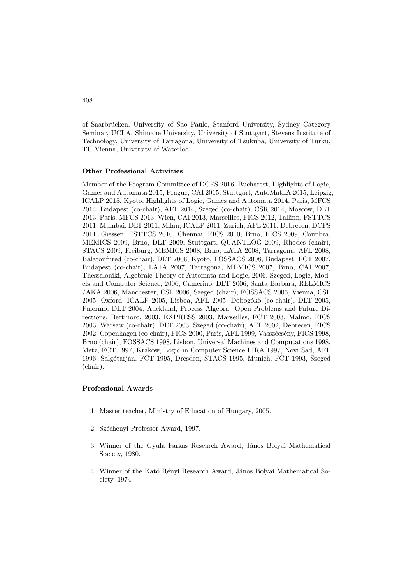of Saarbrücken, University of Sao Paulo, Stanford University, Sydney Category Seminar, UCLA, Shimane University, University of Stuttgart, Stevens Institute of Technology, University of Tarragona, University of Tsukuba, University of Turku, TU Vienna, University of Waterloo.

## Other Professional Activities

Member of the Program Committee of DCFS 2016, Bucharest, Highlights of Logic, Games and Automata 2015, Prague, CAI 2015, Stuttgart, AutoMathA 2015, Leipzig, ICALP 2015, Kyoto, Highlights of Logic, Games and Automata 2014, Paris, MFCS 2014, Budapest (co-chair), AFL 2014, Szeged (co-chair), CSR 2014, Moscow, DLT 2013, Paris, MFCS 2013, Wien, CAI 2013, Marseilles, FICS 2012, Tallinn, FSTTCS 2011, Mumbai, DLT 2011, Milan, ICALP 2011, Zurich, AFL 2011, Debrecen, DCFS 2011, Giessen, FSTTCS 2010, Chennai, FICS 2010, Brno, FICS 2009, Coimbra, MEMICS 2009, Brno, DLT 2009, Stuttgart, QUANTLOG 2009, Rhodes (chair), STACS 2009, Freiburg, MEMICS 2008, Brno, LATA 2008, Tarragona, AFL 2008, Balatonfüred (co-chair), DLT 2008, Kyoto, FOSSACS 2008, Budapest, FCT 2007, Budapest (co-chair), LATA 2007, Tarragona, MEMICS 2007, Brno, CAI 2007, Thessaloniki, Algebraic Theory of Automata and Logic, 2006, Szeged, Logic, Models and Computer Science, 2006, Camerino, DLT 2006, Santa Barbara, RELMICS /AKA 2006, Manchester, CSL 2006, Szeged (chair), FOSSACS 2006, Vienna, CSL 2005, Oxford, ICALP 2005, Lisboa, AFL 2005, Dobogókő (co-chair), DLT 2005, Palermo, DLT 2004, Auckland, Process Algebra: Open Problems and Future Directions, Bertinoro, 2003, EXPRESS 2003, Marseilles, FCT 2003, Malmö, FICS 2003, Warsaw (co-chair), DLT 2003, Szeged (co-chair), AFL 2002, Debrecen, FICS 2002, Copenhagen (co-chair), FICS 2000, Paris, AFL 1999, Vasszécsény, FICS 1998, Brno (chair), FOSSACS 1998, Lisbon, Universal Machines and Computations 1998, Metz, FCT 1997, Krakow, Logic in Computer Science LIRA 1997, Novi Sad, AFL 1996, Salgótarján, FCT 1995, Dresden, STACS 1995, Munich, FCT 1993, Szeged (chair).

#### Professional Awards

- 1. Master teacher, Ministry of Education of Hungary, 2005.
- 2. Széchenyi Professor Award, 1997.
- 3. Winner of the Gyula Farkas Research Award, János Bolyai Mathematical Society, 1980.
- 4. Winner of the Kató Rényi Research Award, János Bolyai Mathematical Society, 1974.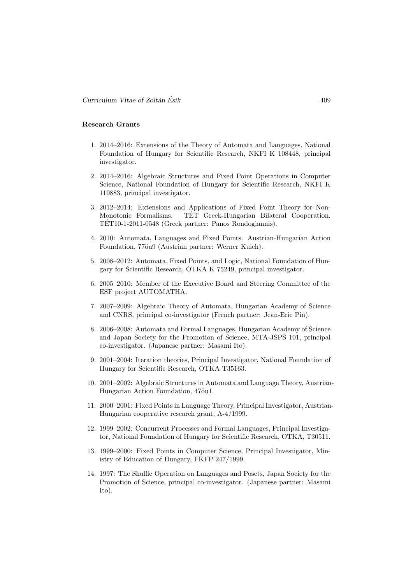# Research Grants

- 1. 2014–2016: Extensions of the Theory of Automata and Languages, National Foundation of Hungary for Scientific Research, NKFI K 108448, principal investigator.
- 2. 2014–2016: Algebraic Structures and Fixed Point Operations in Computer Science, National Foundation of Hungary for Scientific Research, NKFI K 110883, principal investigator.
- 3. 2012–2014: Extensions and Applications of Fixed Point Theory for Non-Monotonic Formalisms. TET Greek-Hungarian Bilateral Cooperation. TET10-1-2011-0548 (Greek partner: Panos Rondogiannis). ´
- 4. 2010: Automata, Languages and Fixed Points. Austrian-Hungarian Action Foundation, 77öu9 (Austrian partner: Werner Kuich).
- 5. 2008–2012: Automata, Fixed Points, and Logic, National Foundation of Hungary for Scientific Research, OTKA K 75249, principal investigator.
- 6. 2005–2010: Member of the Executive Board and Steering Committee of the ESF project AUTOMATHA.
- 7. 2007–2009: Algebraic Theory of Automata, Hungarian Academy of Science and CNRS, principal co-investigator (French partner: Jean-Eric Pin).
- 8. 2006–2008: Automata and Formal Languages, Hungarian Academy of Science and Japan Society for the Promotion of Science, MTA-JSPS 101, principal co-investigator. (Japanese partner: Masami Ito).
- 9. 2001–2004: Iteration theories, Principal Investigator, National Foundation of Hungary for Scientific Research, OTKA T35163.
- 10. 2001–2002: Algebraic Structures in Automata and Language Theory, Austrian-Hungarian Action Foundation, 47öu1.
- 11. 2000–2001: Fixed Points in Language Theory, Principal Investigator, Austrian-Hungarian cooperative research grant, A-4/1999.
- 12. 1999–2002: Concurrent Processes and Formal Languages, Principal Investigator, National Foundation of Hungary for Scientific Research, OTKA, T30511.
- 13. 1999–2000: Fixed Points in Computer Science, Principal Investigator, Ministry of Education of Hungary, FKFP 247/1999.
- 14. 1997: The Shuffle Operation on Languages and Posets, Japan Society for the Promotion of Science, principal co-investigator. (Japanese partner: Masami Ito).